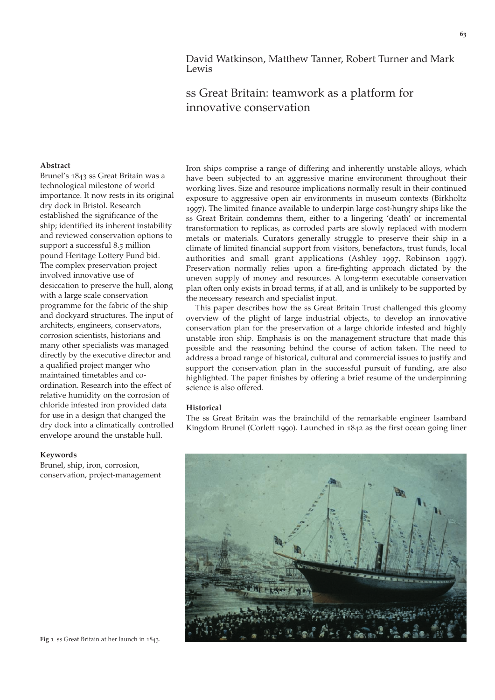# ss Great Britain: teamwork as a platform for innovative conservation

# **Abstract**

Brunel's 1843 ss Great Britain was a technological milestone of world importance. It now rests in its original dry dock in Bristol. Research established the significance of the ship; identified its inherent instability and reviewed conservation options to support a successful 8.5 million pound Heritage Lottery Fund bid. The complex preservation project involved innovative use of desiccation to preserve the hull, along with a large scale conservation programme for the fabric of the ship and dockyard structures. The input of architects, engineers, conservators, corrosion scientists, historians and many other specialists was managed directly by the executive director and a qualified project manger who maintained timetables and coordination. Research into the effect of relative humidity on the corrosion of chloride infested iron provided data for use in a design that changed the dry dock into a climatically controlled envelope around the unstable hull.

## **Keywords**

Brunel, ship, iron, corrosion, conservation, project-management Iron ships comprise a range of differing and inherently unstable alloys, which have been subjected to an aggressive marine environment throughout their working lives. Size and resource implications normally result in their continued exposure to aggressive open air environments in museum contexts (Birkholtz 1997). The limited finance available to underpin large cost-hungry ships like the ss Great Britain condemns them, either to a lingering 'death' or incremental transformation to replicas, as corroded parts are slowly replaced with modern metals or materials. Curators generally struggle to preserve their ship in a climate of limited financial support from visitors, benefactors, trust funds, local authorities and small grant applications (Ashley 1997, Robinson 1997). Preservation normally relies upon a fire-fighting approach dictated by the uneven supply of money and resources. A long-term executable conservation plan often only exists in broad terms, if at all, and is unlikely to be supported by the necessary research and specialist input.

This paper describes how the ss Great Britain Trust challenged this gloomy overview of the plight of large industrial objects, to develop an innovative conservation plan for the preservation of a large chloride infested and highly unstable iron ship. Emphasis is on the management structure that made this possible and the reasoning behind the course of action taken. The need to address a broad range of historical, cultural and commercial issues to justify and support the conservation plan in the successful pursuit of funding, are also highlighted. The paper finishes by offering a brief resume of the underpinning science is also offered.

# **Historical**

The ss Great Britain was the brainchild of the remarkable engineer Isambard Kingdom Brunel (Corlett 1990). Launched in 1842 as the first ocean going liner



**Fig 1** ss Great Britain at her launch in 1843.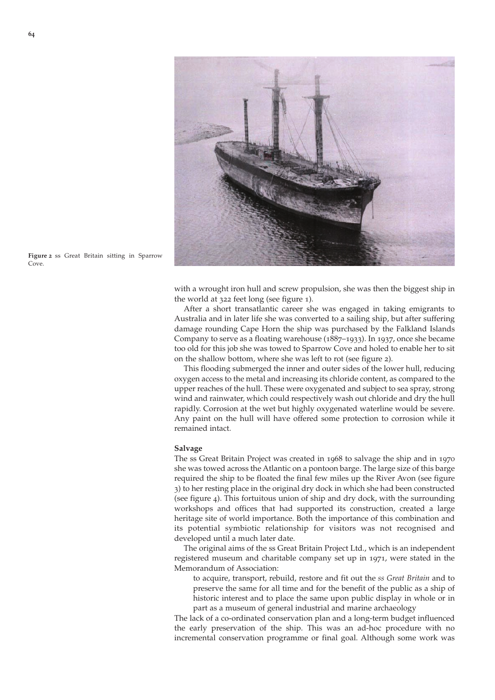

**Figure 2** ss Great Britain sitting in Sparrow Cove.

with a wrought iron hull and screw propulsion, she was then the biggest ship in the world at 322 feet long (see figure 1).

After a short transatlantic career she was engaged in taking emigrants to Australia and in later life she was converted to a sailing ship, but after suffering damage rounding Cape Horn the ship was purchased by the Falkland Islands Company to serve as a floating warehouse (1887–1933). In 1937, once she became too old for this job she was towed to Sparrow Cove and holed to enable her to sit on the shallow bottom, where she was left to rot (see figure 2).

This flooding submerged the inner and outer sides of the lower hull, reducing oxygen access to the metal and increasing its chloride content, as compared to the upper reaches of the hull. These were oxygenated and subject to sea spray, strong wind and rainwater, which could respectively wash out chloride and dry the hull rapidly. Corrosion at the wet but highly oxygenated waterline would be severe. Any paint on the hull will have offered some protection to corrosion while it remained intact.

#### **Salvage**

The ss Great Britain Project was created in 1968 to salvage the ship and in 1970 she was towed across the Atlantic on a pontoon barge. The large size of this barge required the ship to be floated the final few miles up the River Avon (see figure 3) to her resting place in the original dry dock in which she had been constructed (see figure 4). This fortuitous union of ship and dry dock, with the surrounding workshops and offices that had supported its construction, created a large heritage site of world importance. Both the importance of this combination and its potential symbiotic relationship for visitors was not recognised and developed until a much later date.

The original aims of the ss Great Britain Project Ltd., which is an independent registered museum and charitable company set up in 1971, were stated in the Memorandum of Association:

to acquire, transport, rebuild, restore and fit out the *ss Great Britain* and to preserve the same for all time and for the benefit of the public as a ship of historic interest and to place the same upon public display in whole or in part as a museum of general industrial and marine archaeology

The lack of a co-ordinated conservation plan and a long-term budget influenced the early preservation of the ship. This was an ad-hoc procedure with no incremental conservation programme or final goal. Although some work was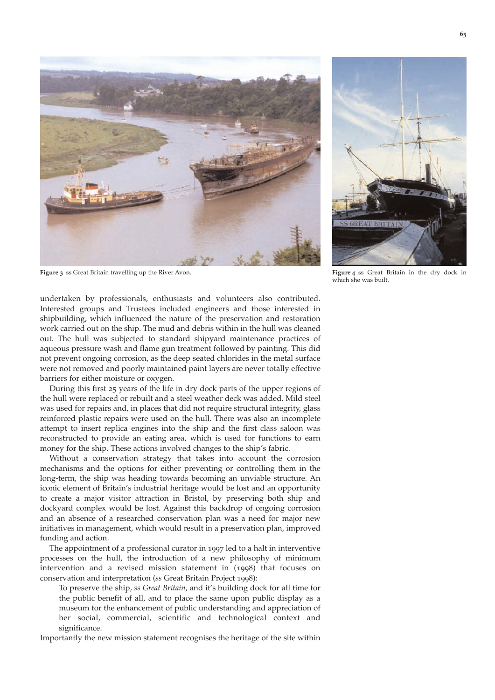

**Figure 3** ss Great Britain travelling up the River Avon.



**Figure 4** ss Great Britain in the dry dock in which she was built.

undertaken by professionals, enthusiasts and volunteers also contributed. Interested groups and Trustees included engineers and those interested in shipbuilding, which influenced the nature of the preservation and restoration work carried out on the ship. The mud and debris within in the hull was cleaned out. The hull was subjected to standard shipyard maintenance practices of aqueous pressure wash and flame gun treatment followed by painting. This did not prevent ongoing corrosion, as the deep seated chlorides in the metal surface were not removed and poorly maintained paint layers are never totally effective barriers for either moisture or oxygen.

During this first 25 years of the life in dry dock parts of the upper regions of the hull were replaced or rebuilt and a steel weather deck was added. Mild steel was used for repairs and, in places that did not require structural integrity, glass reinforced plastic repairs were used on the hull. There was also an incomplete attempt to insert replica engines into the ship and the first class saloon was reconstructed to provide an eating area, which is used for functions to earn money for the ship. These actions involved changes to the ship's fabric.

Without a conservation strategy that takes into account the corrosion mechanisms and the options for either preventing or controlling them in the long-term, the ship was heading towards becoming an unviable structure. An iconic element of Britain's industrial heritage would be lost and an opportunity to create a major visitor attraction in Bristol, by preserving both ship and dockyard complex would be lost. Against this backdrop of ongoing corrosion and an absence of a researched conservation plan was a need for major new initiatives in management, which would result in a preservation plan, improved funding and action.

The appointment of a professional curator in 1997 led to a halt in interventive processes on the hull, the introduction of a new philosophy of minimum intervention and a revised mission statement in (1998) that focuses on conservation and interpretation (*ss* Great Britain Project 1998):

To preserve the ship, *ss Great Britain*, and it's building dock for all time for the public benefit of all, and to place the same upon public display as a museum for the enhancement of public understanding and appreciation of her social, commercial, scientific and technological context and significance.

Importantly the new mission statement recognises the heritage of the site within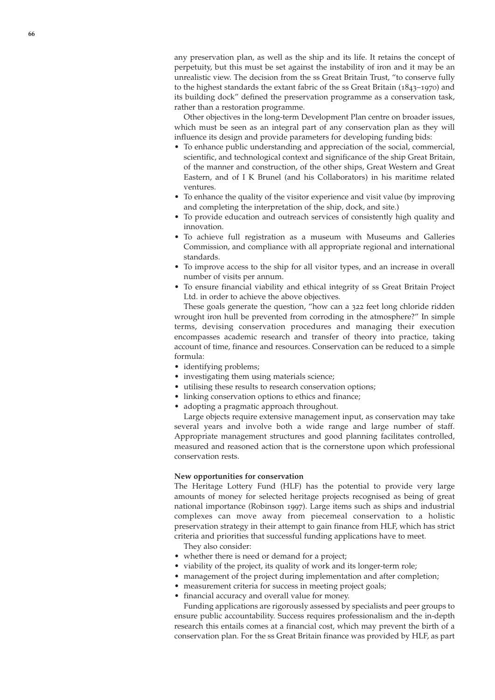any preservation plan, as well as the ship and its life. It retains the concept of perpetuity, but this must be set against the instability of iron and it may be an unrealistic view. The decision from the ss Great Britain Trust, "to conserve fully to the highest standards the extant fabric of the ss Great Britain (1843 –1970) and its building dock" defined the preservation programme as a conservation task, rather than a restoration programme.

Other objectives in the long-term Development Plan centre on broader issues, which must be seen as an integral part of any conservation plan as they will influence its design and provide parameters for developing funding bids:

- To enhance public understanding and appreciation of the social, commercial, scientific, and technological context and significance of the ship Great Britain, of the manner and construction, of the other ships, Great Western and Great Eastern, and of I K Brunel (and his Collaborators) in his maritime related ventures.
- To enhance the quality of the visitor experience and visit value (by improving and completing the interpretation of the ship, dock, and site.)
- To provide education and outreach services of consistently high quality and innovation.
- To achieve full registration as a museum with Museums and Galleries Commission, and compliance with all appropriate regional and international standards.
- To improve access to the ship for all visitor types, and an increase in overall number of visits per annum.
- To ensure financial viability and ethical integrity of ss Great Britain Project Ltd. in order to achieve the above objectives.

These goals generate the question, "how can a 322 feet long chloride ridden wrought iron hull be prevented from corroding in the atmosphere?" In simple terms, devising conservation procedures and managing their execution encompasses academic research and transfer of theory into practice, taking account of time, finance and resources. Conservation can be reduced to a simple formula:

- identifying problems;
- investigating them using materials science;
- utilising these results to research conservation options;
- linking conservation options to ethics and finance:
- adopting a pragmatic approach throughout.

Large objects require extensive management input, as conservation may take several years and involve both a wide range and large number of staff. Appropriate management structures and good planning facilitates controlled, measured and reasoned action that is the cornerstone upon which professional conservation rests.

## **New opportunities for conservation**

The Heritage Lottery Fund (HLF) has the potential to provide very large amounts of money for selected heritage projects recognised as being of great national importance (Robinson 1997). Large items such as ships and industrial complexes can move away from piecemeal conservation to a holistic preservation strategy in their attempt to gain finance from HLF, which has strict criteria and priorities that successful funding applications have to meet.

They also consider:

- whether there is need or demand for a project;
- viability of the project, its quality of work and its longer-term role;
- management of the project during implementation and after completion;
- measurement criteria for success in meeting project goals; financial accuracy and overall value for money.
- 

Funding applications are rigorously assessed by specialists and peer groups to ensure public accountability. Success requires professionalism and the in-depth research this entails comes at a financial cost, which may prevent the birth of a conservation plan. For the ss Great Britain finance was provided by HLF, as part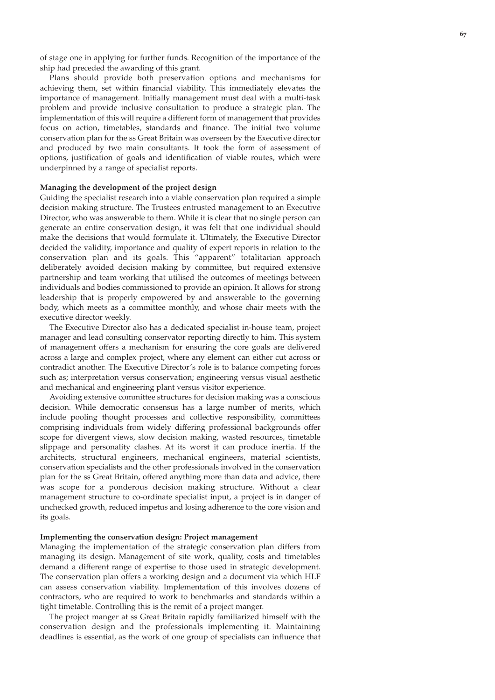of stage one in applying for further funds. Recognition of the importance of the ship had preceded the awarding of this grant.

Plans should provide both preservation options and mechanisms for achieving them, set within financial viability. This immediately elevates the importance of management. Initially management must deal with a multi-task problem and provide inclusive consultation to produce a strategic plan. The implementation of this will require a different form of management that provides focus on action, timetables, standards and finance. The initial two volume conservation plan for the ss Great Britain was overseen by the Executive director and produced by two main consultants. It took the form of assessment of options, justification of goals and identification of viable routes, which were underpinned by a range of specialist reports.

# **Managing the development of the project design**

Guiding the specialist research into a viable conservation plan required a simple decision making structure. The Trustees entrusted management to an Executive Director, who was answerable to them. While it is clear that no single person can generate an entire conservation design, it was felt that one individual should make the decisions that would formulate it. Ultimately, the Executive Director decided the validity, importance and quality of expert reports in relation to the conservation plan and its goals. This "apparent" totalitarian approach deliberately avoided decision making by committee, but required extensive partnership and team working that utilised the outcomes of meetings between individuals and bodies commissioned to provide an opinion. It allows for strong leadership that is properly empowered by and answerable to the governing body, which meets as a committee monthly, and whose chair meets with the executive director weekly.

The Executive Director also has a dedicated specialist in-house team, project manager and lead consulting conservator reporting directly to him. This system of management offers a mechanism for ensuring the core goals are delivered across a large and complex project, where any element can either cut across or contradict another. The Executive Director's role is to balance competing forces such as; interpretation versus conservation; engineering versus visual aesthetic and mechanical and engineering plant versus visitor experience.

Avoiding extensive committee structures for decision making was a conscious decision. While democratic consensus has a large number of merits, which include pooling thought processes and collective responsibility, committees comprising individuals from widely differing professional backgrounds offer scope for divergent views, slow decision making, wasted resources, timetable slippage and personality clashes. At its worst it can produce inertia. If the architects, structural engineers, mechanical engineers, material scientists, conservation specialists and the other professionals involved in the conservation plan for the ss Great Britain, offered anything more than data and advice, there was scope for a ponderous decision making structure. Without a clear management structure to co-ordinate specialist input, a project is in danger of unchecked growth, reduced impetus and losing adherence to the core vision and its goals.

# **Implementing the conservation design: Project management**

Managing the implementation of the strategic conservation plan differs from managing its design. Management of site work, quality, costs and timetables demand a different range of expertise to those used in strategic development. The conservation plan offers a working design and a document via which HLF can assess conservation viability. Implementation of this involves dozens of contractors, who are required to work to benchmarks and standards within a tight timetable. Controlling this is the remit of a project manger.

The project manger at ss Great Britain rapidly familiarized himself with the conservation design and the professionals implementing it. Maintaining deadlines is essential, as the work of one group of specialists can influence that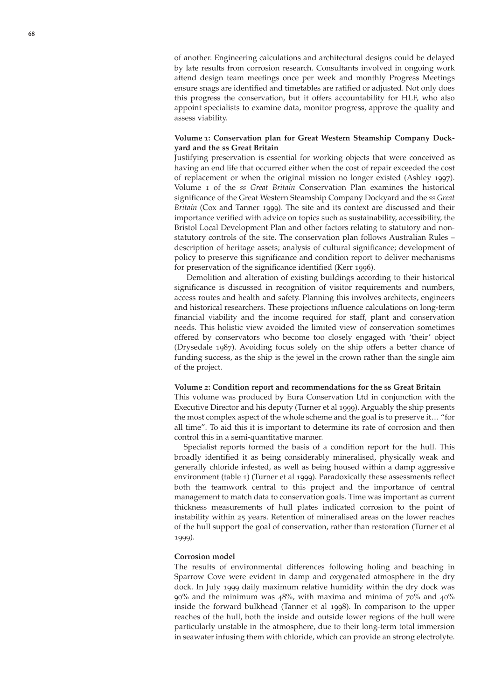of another. Engineering calculations and architectural designs could be delayed by late results from corrosion research. Consultants involved in ongoing work attend design team meetings once per week and monthly Progress Meetings ensure snags are identified and timetables are ratified or adjusted. Not only does this progress the conservation, but it offers accountability for HLF, who also appoint specialists to examine data, monitor progress, approve the quality and assess viability.

# **Volume 1: Conservation plan for Great Western Steamship Company Dockyard and the ss Great Britain**

Justifying preservation is essential for working objects that were conceived as having an end life that occurred either when the cost of repair exceeded the cost of replacement or when the original mission no longer existed (Ashley 1997). Volume 1 of the *ss Great Britain* Conservation Plan examines the historical significance of the Great Western Steamship Company Dockyard and the *ss Great Britain* (Cox and Tanner 1999). The site and its context are discussed and their importance verified with advice on topics such as sustainability, accessibility, the Bristol Local Development Plan and other factors relating to statutory and nonstatutory controls of the site. The conservation plan follows Australian Rules – description of heritage assets; analysis of cultural significance; development of policy to preserve this significance and condition report to deliver mechanisms for preservation of the significance identified (Kerr 1996).

Demolition and alteration of existing buildings according to their historical significance is discussed in recognition of visitor requirements and numbers, access routes and health and safety. Planning this involves architects, engineers and historical researchers. These projections influence calculations on long-term financial viability and the income required for staff, plant and conservation needs. This holistic view avoided the limited view of conservation sometimes offered by conservators who become too closely engaged with 'their' object (Drysedale 1987). Avoiding focus solely on the ship offers a better chance of funding success, as the ship is the jewel in the crown rather than the single aim of the project.

## **Volume 2: Condition report and recommendations for the ss Great Britain**

This volume was produced by Eura Conservation Ltd in conjunction with the Executive Director and his deputy (Turner et al 1999). Arguably the ship presents the most complex aspect of the whole scheme and the goal is to preserve it… "for all time". To aid this it is important to determine its rate of corrosion and then control this in a semi-quantitative manner.

Specialist reports formed the basis of a condition report for the hull. This broadly identified it as being considerably mineralised, physically weak and generally chloride infested, as well as being housed within a damp aggressive environment (table 1) (Turner et al 1999). Paradoxically these assessments reflect both the teamwork central to this project and the importance of central management to match data to conservation goals. Time was important as current thickness measurements of hull plates indicated corrosion to the point of instability within 25 years. Retention of mineralised areas on the lower reaches of the hull support the goal of conservation, rather than restoration (Turner et al 1999).

#### **Corrosion model**

The results of environmental differences following holing and beaching in Sparrow Cove were evident in damp and oxygenated atmosphere in the dry dock. In July 1999 daily maximum relative humidity within the dry dock was 90% and the minimum was 48%, with maxima and minima of  $70\%$  and  $40\%$ inside the forward bulkhead (Tanner et al 1998). In comparison to the upper reaches of the hull, both the inside and outside lower regions of the hull were particularly unstable in the atmosphere, due to their long-term total immersion in seawater infusing them with chloride, which can provide an strong electrolyte.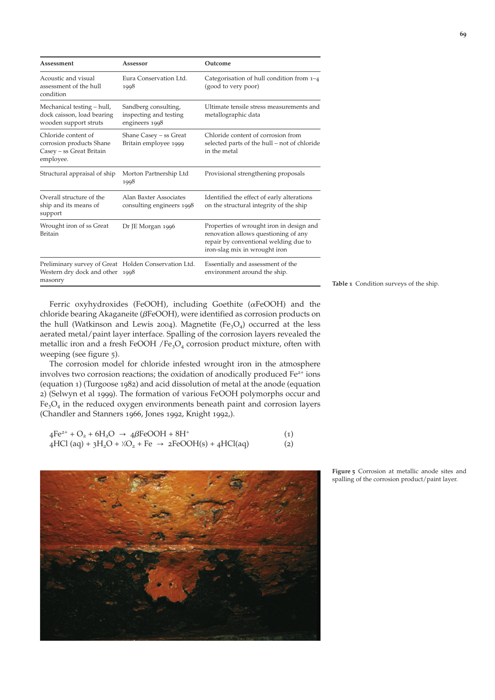| Assessment                                                                                         | Assessor                                                         | Outcome                                                                                                                                                    |
|----------------------------------------------------------------------------------------------------|------------------------------------------------------------------|------------------------------------------------------------------------------------------------------------------------------------------------------------|
| Acoustic and visual<br>assessment of the hull<br>condition                                         | Eura Conservation Ltd.<br>1998                                   | Categorisation of hull condition from $1-4$<br>(good to very poor)                                                                                         |
| Mechanical testing - hull,<br>dock caisson, load bearing<br>wooden support struts                  | Sandberg consulting,<br>inspecting and testing<br>engineers 1998 | Ultimate tensile stress measurements and<br>metallographic data                                                                                            |
| Chloride content of<br>corrosion products Shane<br>Casey - ss Great Britain<br>employee.           | Shane Casey - ss Great<br>Britain employee 1999                  | Chloride content of corrosion from<br>selected parts of the hull - not of chloride<br>in the metal                                                         |
| Structural appraisal of ship                                                                       | Morton Partnership Ltd<br>1998                                   | Provisional strengthening proposals                                                                                                                        |
| Overall structure of the<br>ship and its means of<br>support                                       | Alan Baxter Associates<br>consulting engineers 1998              | Identified the effect of early alterations<br>on the structural integrity of the ship                                                                      |
| Wrought iron of ss Great<br><b>Britain</b>                                                         | Dr JE Morgan 1996                                                | Properties of wrought iron in design and<br>renovation allows questioning of any<br>repair by conventional welding due to<br>iron-slag mix in wrought iron |
| Preliminary survey of Great Holden Conservation Ltd.<br>Western dry dock and other 1998<br>masonry |                                                                  | Essentially and assessment of the<br>environment around the ship.                                                                                          |

Ferric oxyhydroxides (FeOOH), including Goethite ( $\alpha$ FeOOH) and the chloride bearing Akaganeite ( $\beta$ FeOOH), were identified as corrosion products on the hull (Watkinson and Lewis 2004). Magnetite (Fe<sub>3</sub>O<sub>4</sub>) occurred at the less aerated metal/paint layer interface. Spalling of the corrosion layers revealed the metallic iron and a fresh FeOOH /Fe<sub>3</sub>O<sub>4</sub> corrosion product mixture, often with weeping (see figure 5).

The corrosion model for chloride infested wrought iron in the atmosphere involves two corrosion reactions; the oxidation of anodically produced  $Fe<sup>2+</sup>$  ions (equation 1) (Turgoose 1982) and acid dissolution of metal at the anode (equation 2) (Selwyn et al 1999). The formation of various FeOOH polymorphs occur and  $Fe<sub>3</sub>O<sub>4</sub>$  in the reduced oxygen environments beneath paint and corrosion layers (Chandler and Stanners 1966, Jones 1992, Knight 1992,).

$$
4Fe^{2+} + O_2 + 6H_2O \rightarrow 4\beta FeOOH + 8H^+
$$
\n
$$
4HCl (aq) + 3H_2O + \frac{1}{2}O_2 + Fe \rightarrow 2FeOOH(s) + 4HCl(aq)
$$
\n(1)

**Table 1** Condition surveys of the ship.

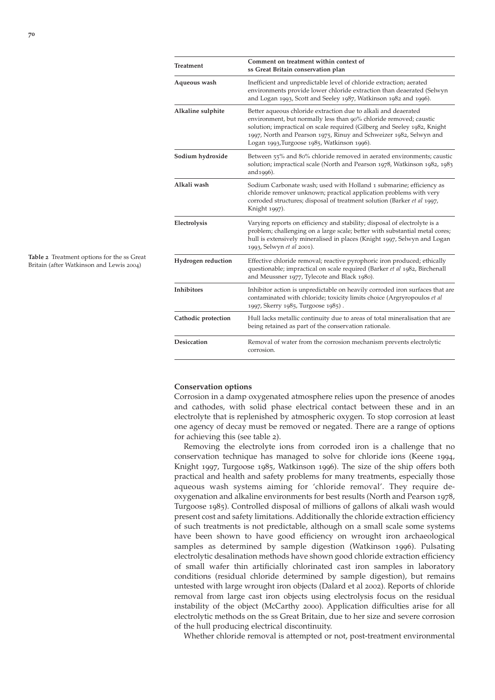| <b>Treatment</b>          | Comment on treatment within context of<br>ss Great Britain conservation plan                                                                                                                                                                                                                                                         |  |
|---------------------------|--------------------------------------------------------------------------------------------------------------------------------------------------------------------------------------------------------------------------------------------------------------------------------------------------------------------------------------|--|
| Aqueous wash              | Inefficient and unpredictable level of chloride extraction; aerated<br>environments provide lower chloride extraction than deaerated (Selwyn<br>and Logan 1993, Scott and Seeley 1987, Watkinson 1982 and 1996).                                                                                                                     |  |
| Alkaline sulphite         | Better aqueous chloride extraction due to alkali and deaerated<br>environment, but normally less than 90% chloride removed; caustic<br>solution; impractical on scale required (Gilberg and Seeley 1982, Knight<br>1997, North and Pearson 1975, Rinuy and Schweizer 1982, Selwyn and<br>Logan 1993, Turgoose 1985, Watkinson 1996). |  |
| Sodium hydroxide          | Between 55% and 80% chloride removed in aerated environments; caustic<br>solution; impractical scale (North and Pearson 1978, Watkinson 1982, 1983<br>and <sub>1996</sub> ).                                                                                                                                                         |  |
| Alkali wash               | Sodium Carbonate wash; used with Holland 1 submarine; efficiency as<br>chloride remover unknown; practical application problems with very<br>corroded structures; disposal of treatment solution (Barker et al 1997,<br>Knight 1997).                                                                                                |  |
| Electrolysis              | Varying reports on efficiency and stability; disposal of electrolyte is a<br>problem; challenging on a large scale; better with substantial metal cores;<br>hull is extensively mineralised in places (Knight 1997, Selwyn and Logan<br>1993, Selwyn et al 2001).                                                                    |  |
| <b>Hydrogen</b> reduction | Effective chloride removal; reactive pyrophoric iron produced; ethically<br>questionable; impractical on scale required (Barker et al 1982, Birchenall<br>and Meussner 1977, Tylecote and Black 1980).                                                                                                                               |  |
| Inhibitors                | Inhibitor action is unpredictable on heavily corroded iron surfaces that are<br>contaminated with chloride; toxicity limits choice (Argryropoulos et al<br>1997, Skerry 1985, Turgoose 1985).                                                                                                                                        |  |
| Cathodic protection       | Hull lacks metallic continuity due to areas of total mineralisation that are<br>being retained as part of the conservation rationale.                                                                                                                                                                                                |  |
| Desiccation               | Removal of water from the corrosion mechanism prevents electrolytic<br>corrosion.                                                                                                                                                                                                                                                    |  |

**Table 2** Treatment options for the ss Great Britain (after Watkinson and Lewis 2004)

# **Conservation options**

Corrosion in a damp oxygenated atmosphere relies upon the presence of anodes and cathodes, with solid phase electrical contact between these and in an electrolyte that is replenished by atmospheric oxygen. To stop corrosion at least one agency of decay must be removed or negated. There are a range of options for achieving this (see table 2).

Removing the electrolyte ions from corroded iron is a challenge that no conservation technique has managed to solve for chloride ions (Keene 1994, Knight 1997, Turgoose 1985, Watkinson 1996). The size of the ship offers both practical and health and safety problems for many treatments, especially those aqueous wash systems aiming for 'chloride removal'. They require deoxygenation and alkaline environments for best results (North and Pearson 1978, Turgoose 1985). Controlled disposal of millions of gallons of alkali wash would present cost and safety limitations. Additionally the chloride extraction efficiency of such treatments is not predictable, although on a small scale some systems have been shown to have good efficiency on wrought iron archaeological samples as determined by sample digestion (Watkinson 1996). Pulsating electrolytic desalination methods have shown good chloride extraction efficiency of small wafer thin artificially chlorinated cast iron samples in laboratory conditions (residual chloride determined by sample digestion), but remains untested with large wrought iron objects (Dalard et al 2002). Reports of chloride removal from large cast iron objects using electrolysis focus on the residual instability of the object (McCarthy 2000). Application difficulties arise for all electrolytic methods on the ss Great Britain, due to her size and severe corrosion of the hull producing electrical discontinuity.

Whether chloride removal is attempted or not, post-treatment environmental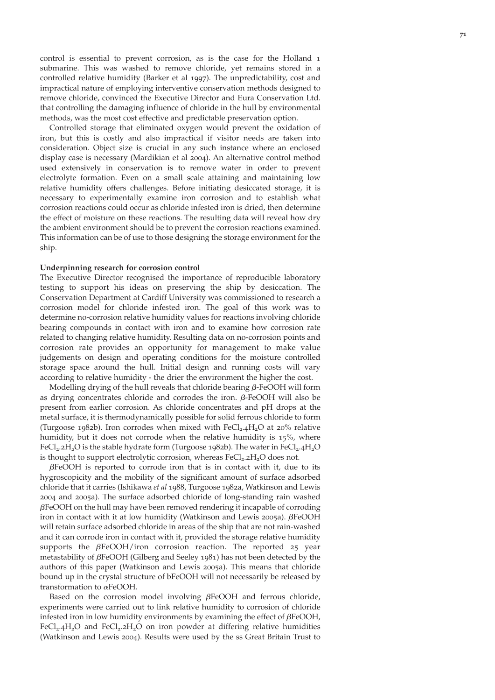control is essential to prevent corrosion, as is the case for the Holland 1 submarine. This was washed to remove chloride, yet remains stored in a controlled relative humidity (Barker et al 1997). The unpredictability, cost and impractical nature of employing interventive conservation methods designed to remove chloride, convinced the Executive Director and Eura Conservation Ltd. that controlling the damaging influence of chloride in the hull by environmental methods, was the most cost effective and predictable preservation option.

Controlled storage that eliminated oxygen would prevent the oxidation of iron, but this is costly and also impractical if visitor needs are taken into consideration. Object size is crucial in any such instance where an enclosed display case is necessary (Mardikian et al 2004). An alternative control method used extensively in conservation is to remove water in order to prevent electrolyte formation. Even on a small scale attaining and maintaining low relative humidity offers challenges. Before initiating desiccated storage, it is necessary to experimentally examine iron corrosion and to establish what corrosion reactions could occur as chloride infested iron is dried, then determine the effect of moisture on these reactions. The resulting data will reveal how dry the ambient environment should be to prevent the corrosion reactions examined. This information can be of use to those designing the storage environment for the ship.

# **Underpinning research for corrosion control**

The Executive Director recognised the importance of reproducible laboratory testing to support his ideas on preserving the ship by desiccation. The Conservation Department at Cardiff University was commissioned to research a corrosion model for chloride infested iron. The goal of this work was to determine no-corrosion relative humidity values for reactions involving chloride bearing compounds in contact with iron and to examine how corrosion rate related to changing relative humidity. Resulting data on no-corrosion points and corrosion rate provides an opportunity for management to make value judgements on design and operating conditions for the moisture controlled storage space around the hull. Initial design and running costs will vary according to relative humidity - the drier the environment the higher the cost.

Modelling drying of the hull reveals that chloride bearing  $\beta$ -FeOOH will form as drying concentrates chloride and corrodes the iron.  $\beta$ -FeOOH will also be present from earlier corrosion. As chloride concentrates and pH drops at the metal surface, it is thermodynamically possible for solid ferrous chloride to form (Turgoose 1982b). Iron corrodes when mixed with FeCl<sub>2</sub>.4H<sub>2</sub>O at 20% relative humidity, but it does not corrode when the relative humidity is 15%, wher e FeCl<sub>2</sub>.2H<sub>2</sub>O is the stable hydrate form (Turgoose 1982b). The water in FeCl<sub>2</sub>.4H<sub>2</sub>O is thought to support electrolytic corrosion, whereas FeCl<sub>2</sub>.2H<sub>2</sub>O does not.

 $\beta$ FeOOH is reported to corrode iron that is in contact with it, due to its hygroscopicity and the mobility of the significant amount of surface adsorbed chloride that it carries (Ishikawa *et al* 1988, Turgoose 1982a, Watkinson and Lewis 2004 and 2005a). The surface adsorbed chloride of long-standing rain washed  $\beta$  FeOOH on the hull may have been removed rendering it incapable of corroding iron in contact with it at low humidity (Watkinson and Lewis 2005a). BFeOOH will retain surface adsorbed chloride in areas of the ship that are not rain-washed and it can corrode iron in contact with it, provided the storage relative humidity supports the  $\beta$ FeOOH/iron corrosion reaction. The reported 25 year metastability of  $\beta$ FeOOH (Gilberg and Seeley 1981) has not been detected by the authors of this paper (Watkinson and Lewis 2005a). This means that chloride bound up in the crystal structure of bFeOOH will not necessarily be released by transformation to  $\alpha$ FeOOH.

Based on the corrosion model involving  $\beta$ FeOOH and ferrous chloride, experiments were carried out to link relative humidity to corrosion of chloride infested iron in low humidity environments by examining the effect of  $\beta$ FeOOH, FeCl<sub>2</sub>.4H<sub>2</sub>O and FeCl<sub>2</sub>.2H<sub>2</sub>O on iron powder at differing relative humidities (Watkinson and Lewis 2004). Results were used by the ss Great Britain Trust to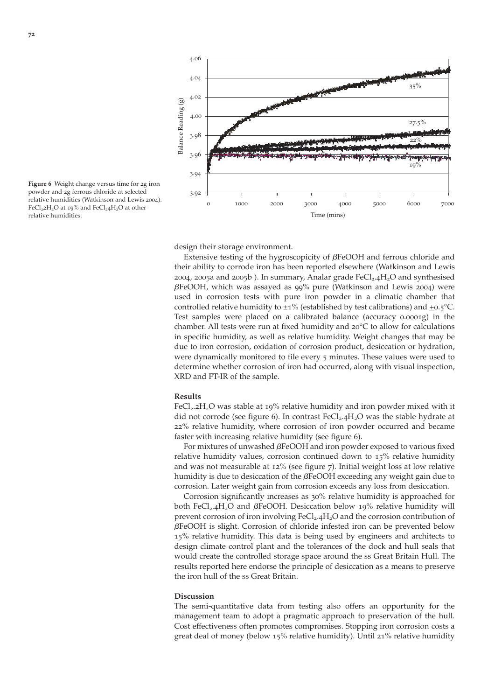

design their storage environment. Extensive testing of the hygroscopicity of  $\beta$ FeOOH and ferrous chloride and their ability to corrode iron has been reported elsewhere (Watkinson and Lewis 2004, 2005a and 2005b). In summary, Analar grade  $FeCl<sub>2</sub>·4H<sub>2</sub>O$  and synthesised  $\beta$ FeOOH, which was assayed as 99% pure (Watkinson and Lewis 2004) were used in corrosion tests with pure iron powder in a climatic chamber that controlled relative humidity to  $\pm 1\%$  (established by test calibrations) and  $\pm 0.5^{\circ}$ C. Test samples were placed on a calibrated balance (accuracy 0.0001g) in the chamber. All tests were run at fixed humidity and  $20^{\circ}$ C to allow for calculations in specific humidity, as well as relative humidity. Weight changes that may be due to iron corrosion, oxidation of corrosion product, desiccation or hydration, were dynamically monitored to file every 5 minutes. These values were used to determine whether corrosion of iron had occurred, along with visual inspection, XRD and FT-IR of the sample.

# **Results**

 $FeCl<sub>2</sub>·2H<sub>2</sub>O$  was stable at 19% relative humidity and iron powder mixed with it did not corrode (see figure 6). In contrast  $FeCl<sub>2</sub>·4H<sub>2</sub>O$  was the stable hydrate at 22% relative humidity, where corrosion of iron powder occurred and became faster with increasing relative humidity (see figure 6).

For mixtures of unwashed  $\beta$ FeOOH and iron powder exposed to various fixed relative humidity values, corrosion continued down to 15% relative humidity and was not measurable at 12% (see figure 7). Initial weight loss at low relative humidity is due to desiccation of the  $\beta$ FeOOH exceeding any weight gain due to corrosion. Later weight gain from corrosion exceeds any loss from desiccation.

Corrosion significantly increases as 30% relative humidity is approached for both FeCl<sub>2</sub>.4H<sub>2</sub>O and  $\beta$ FeOOH. Desiccation below 19% relative humidity will prevent corrosion of iron involving  $FeCl<sub>2</sub>4H<sub>2</sub>O$  and the corrosion contribution of  $\beta$  FeOOH is slight. Corrosion of chloride infested iron can be prevented below 15% relative humidity. This data is being used by engineers and architects to design climate control plant and the tolerances of the dock and hull seals that would create the controlled storage space around the ss Great Britain Hull. The results reported here endorse the principle of desiccation as a means to preserve the iron hull of the ss Great Britain.

## **Discussion**

The semi-quantitative data from testing also offers an opportunity for the management team to adopt a pragmatic approach to preservation of the hull. Cost effectiveness often promotes compromises. Stopping iron corrosion costs a great deal of money (below 15% relative humidity). Until 21% relative humidity

**Figure 6** Weight change versus time for 2g iron powder and 2g ferrous chloride at selected relative humidities (Watkinson and Lewis 2004). FeCl<sub>2</sub>2H<sub>2</sub>O at 19% and FeCl<sub>24</sub>H<sub>2</sub>O at other relative humidities.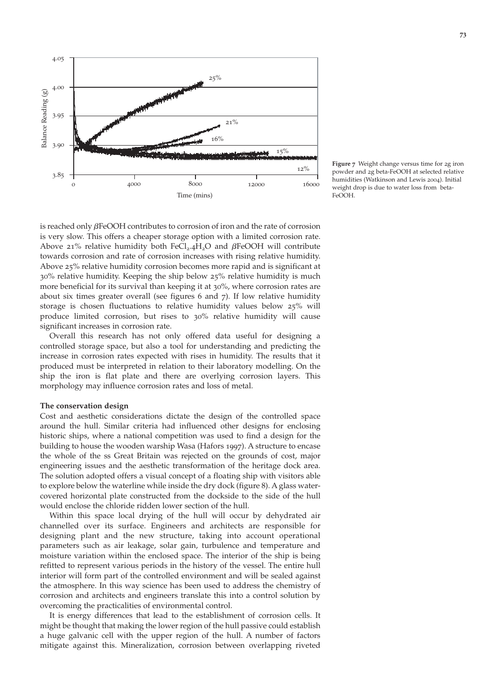

**Figure 7** Weight change versus time for 2g iron powder and 2g beta-FeOOH at selected relative humidities (Watkinson and Lewis 2004). Initial weight drop is due to water loss from beta-FeOOH.

is reached only BFeOOH contributes to corrosion of iron and the rate of corrosion is very slow. This offers a cheaper storage option with a limited corrosion rate. Above 21% relative humidity both FeCl<sub>2</sub>.4H<sub>2</sub>O and  $\beta$ FeOOH will contribute towards corrosion and rate of corrosion increases with rising relative humidity. Above 25% relative humidity corrosion becomes more rapid and is significant at 30% relative humidity. Keeping the ship below 25% relative humidity is much more beneficial for its survival than keeping it at 30%, where corrosion rates are about six times greater overall (see figures 6 and 7). If low relative humidity storage is chosen fluctuations to relative humidity values below 25% will produce limited corrosion, but rises to 30% relative humidity will cause significant increases in corrosion rate.

Overall this research has not only offered data useful for designing a controlled storage space, but also a tool for understanding and predicting the increase in corrosion rates expected with rises in humidity. The results that it produced must be interpreted in relation to their laboratory modelling. On the ship the iron is flat plate and there are overlying corrosion layers. This morphology may influence corrosion rates and loss of metal.

# **The conservation design**

Cost and aesthetic considerations dictate the design of the controlled space around the hull. Similar criteria had influenced other designs for enclosing historic ships, where a national competition was used to find a design for the building to house the wooden warship Wasa (Hafors 1997). A structure to encase the whole of the ss Great Britain was rejected on the grounds of cost, major engineering issues and the aesthetic transformation of the heritage dock area. The solution adopted offers a visual concept of a floating ship with visitors able to explore below the waterline while inside the dry dock (figure 8). A glass watercovered horizontal plate constructed from the dockside to the side of the hull would enclose the chloride ridden lower section of the hull.

Within this space local drying of the hull will occur by dehydrated air channelled over its surface. Engineers and architects are responsible for designing plant and the new structure, taking into account operational parameters such as air leakage, solar gain, turbulence and temperature and moisture variation within the enclosed space. The interior of the ship is being refitted to represent various periods in the history of the vessel. The entire hull interior will form part of the controlled environment and will be sealed against the atmosphere. In this way science has been used to address the chemistry of corrosion and architects and engineers translate this into a control solution by overcoming the practicalities of environmental control.

It is energy differences that lead to the establishment of corrosion cells. It might be thought that making the lower region of the hull passive could establish a huge galvanic cell with the upper region of the hull. A number of factors mitigate against this. Mineralization, corrosion between overlapping riveted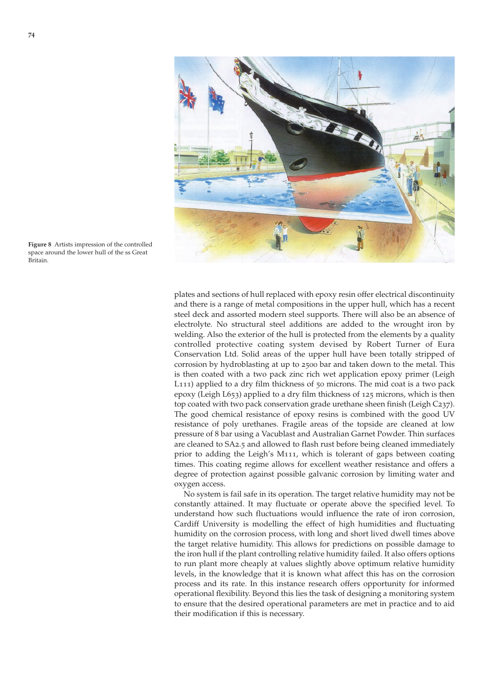

**Figure 8** Artists impression of the controlled space around the lower hull of the ss Great Britain.

plates and sections of hull replaced with epoxy resin offer electrical discontinuity and there is a range of metal compositions in the upper hull, which has a recent steel deck and assorted modern steel supports. There will also be an absence of electrolyte. No structural steel additions are added to the wrought iron by welding. Also the exterior of the hull is protected from the elements by a quality controlled protective coating system devised by Robert Turner of Eura Conservation Ltd. Solid areas of the upper hull have been totally stripped of corrosion by hydroblasting at up to 2500 bar and taken down to the metal. This is then coated with a two pack zinc rich wet application epoxy primer (Leigh L111) applied to a dry film thickness of 50 microns. The mid coat is a two pack epoxy (Leigh L653) applied to a dry film thickness of 125 microns, which is then top coated with two pack conservation grade urethane sheen finish (Leigh C237). The good chemical resistance of epoxy resins is combined with the good UV resistance of poly urethanes. Fragile areas of the topside are cleaned at low pressure of 8 bar using a Vacublast and Australian Garnet Powder. Thin surfaces are cleaned to SA2.5 and allowed to flash rust before being cleaned immediately prior to adding the Leigh's M111, which is tolerant of gaps between coating times. This coating regime allows for excellent weather resistance and offers a degree of protection against possible galvanic corrosion by limiting water and oxygen access.

No system is fail safe in its operation. The target relative humidity may not be constantly attained. It may fluctuate or operate above the specified level. To understand how such fluctuations would influence the rate of iron corrosion, Cardiff University is modelling the effect of high humidities and fluctuating humidity on the corrosion process, with long and short lived dwell times above the target relative humidity. This allows for predictions on possible damage to the iron hull if the plant controlling relative humidity failed. It also offers options to run plant more cheaply at values slightly above optimum relative humidity levels, in the knowledge that it is known what affect this has on the corrosion process and its rate. In this instance research offers opportunity for informed operational flexibility. Beyond this lies the task of designing a monitoring system to ensure that the desired operational parameters are met in practice and to aid their modification if this is necessary.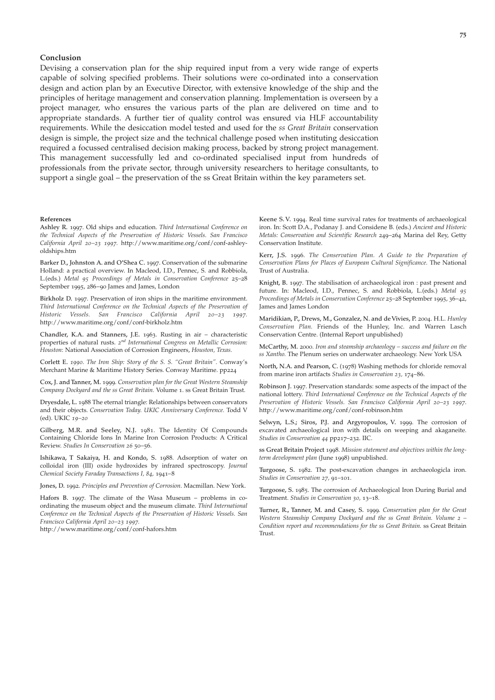## **Conclusion**

Devising a conservation plan for the ship required input from a very wide range of experts capable of solving specified problems. Their solutions were co-ordinated into a conservation design and action plan by an Executive Director, with extensive knowledge of the ship and the principles of heritage management and conservation planning. Implementation is overseen by a project manager, who ensures the various parts of the plan are delivered on time and to appropriate standards. A further tier of quality control was ensured via HLF accountability requirements. While the desiccation model tested and used for the *ss Great Britain* conservation design is simple, the project size and the technical challenge posed when instituting desiccation required a focussed centralised decision making process, backed by strong project management. This management successfully led and co-ordinated specialised input from hundreds of professionals from the private sector, through university researchers to heritage consultants, to support a single goal – the preservation of the ss Great Britain within the key parameters set.

#### **References**

Ashley R. 1997. Old ships and education. *Third International Conference on the Technical Aspects of the Preservation of Historic Vessels. San Francisco California April 20–23 1997.* http://www.maritime.org/conf/conf-ashleyoldships.htm

Barker D., Johnston A. and O'Shea C. 1997. Conservation of the submarine Holland: a practical overview. In Macleod, I.D., Pennec, S. and Robbiola, L.(eds.) *Metal 95 Proceedings of Metals in Conservation Conference* 25–28 September 1995, 286–90 James and James, London

Birkholz D. 1997. Preservation of iron ships in the maritime environment. *Third International Conference on the Technical Aspects of the Preservation of Historic Vessels. San Francisco California April 20–23 1997.* http://www.maritime.org/conf/conf-birkholz.htm

Chandler, K.A. and Stanners, J.E. 1963. Rusting in air – characteristic properties of natural rusts. *2nd International Congress on Metallic Corrosion: Houston*: National Association of Corrosion Engineers, *Houston, Texas.*

Corlett E. *1990. The Iron Ship: Story of the S. S. "Great Britain".* Conway's Merchant Marine & Maritime History Series. Conway Maritime. pp224

Cox, J. and Tanner, M. 1999. *Conservation plan for the Great Western Steamship Company Dockyard and the ss Great Britain.* Volume 1. ss Great Britain Trust.

Dryesdale, L. 1988 The eternal triangle: Relationships between conservators and their objects. *Conservation Today. UKIC Anniversary Conference.* Todd V (ed). UKIC *19–20*

Gilberg, M.R. and Seeley, N.J. 1981. The Identity Of Compounds Containing Chloride Ions In Marine Iron Corrosion Products: A Critical Review. *Studies In Conservation 26* 50–56.

Ishikawa, T Sakaiya, H. and Kondo, S. 1988. Adsorption of water on colloidal iron (III) oxide hydroxides by infrared spectroscopy. *Journal Chemical Society Faraday Transactions I, 84,* 1941–8

Jones, D. 1992. *Principles and Prevention of Corrosion*. Macmillan. New York.

Hafors B. 1997. The climate of the Wasa Museum – problems in coordinating the museum object and the museum climate. *Third International Conference on the Technical Aspects of the Preservation of Historic Vessels. San Francisco California April 20–23 1997.*

http://www.maritime.org/conf/conf-hafors.htm

Keene S. V. 1994. Real time survival rates for treatments of archaeological iron. In: Scott D.A., Podanay J. and Considene B. (eds.) *Ancient and Historic Metals: Conservation and Scientific Research* 249–264 Marina del Rey, Getty Conservation Institute.

Kerr, J.S. 1996. *The Conservation Plan. A Guide to the Preparation of Conservation Plans for Places of European Cultural Significance.* The National Trust of Australia.

Knight, B. 1997. The stabilisation of archaeological iron : past present and future. In: Macleod, I.D., Pennec, S. and Robbiola, L.(eds.) *Metal 95 Proceedings of Metals in Conservation Conference* 25–28 September 1995, 36–42, James and James London

Maridikian, P., Drews, M., Gonzalez, N. and de Vivies, P. 2004. H.L. *Hunley Conservation Plan.* Friends of the Hunley, Inc. and Warren Lasch Conservation Centre. (Internal Report unpublished)

McCarthy, M. 2000. *Iron and steamship archaeology – success and failure on the ss Xantho.* The Plenum series on underwater archaeology. New York USA

North, N.A. and Pearson, C. (1978) Washing methods for chloride removal from marine iron artifacts *Studies in Conservation 23,* 174–86.

Robinson J. 1997. Preservation standards: some aspects of the impact of the national lottery. *Third International Conference on the Technical Aspects of the Preservation of Historic Vessels. San Francisco California April 20–23 1997*. http://www.maritime.org/conf/conf-robinson.htm

Selwyn, L.S.; Siros, P.J. and Argyropoulos, V. 1999. The corrosion of excavated archaeological iron with details on weeping and akaganeite. *Studies in Conservation 44* pp217–232. IIC.

ss Great Britain Project 1998. *Mission statement and objectives within the longterm development plan* (June 1998) unpublished.

Turgoose, S. 1982. The post-excavation changes in archaeologicla iron. *Studies in Conservation 27,* 91–101.

Turgoose, S. 1985. The corrosion of Archaeological Iron During Burial and Treatment. *Studies in Conservation 30,* 13–18.

Turner, R., Tanner, M. and Casey, S. 1999. *Conservation plan for the Great Western Steamship Company Dockyard and the ss Great Britain. Volume 2 – Condition report and recommendations for the ss Great Britain.* ss Great Britain Trust.